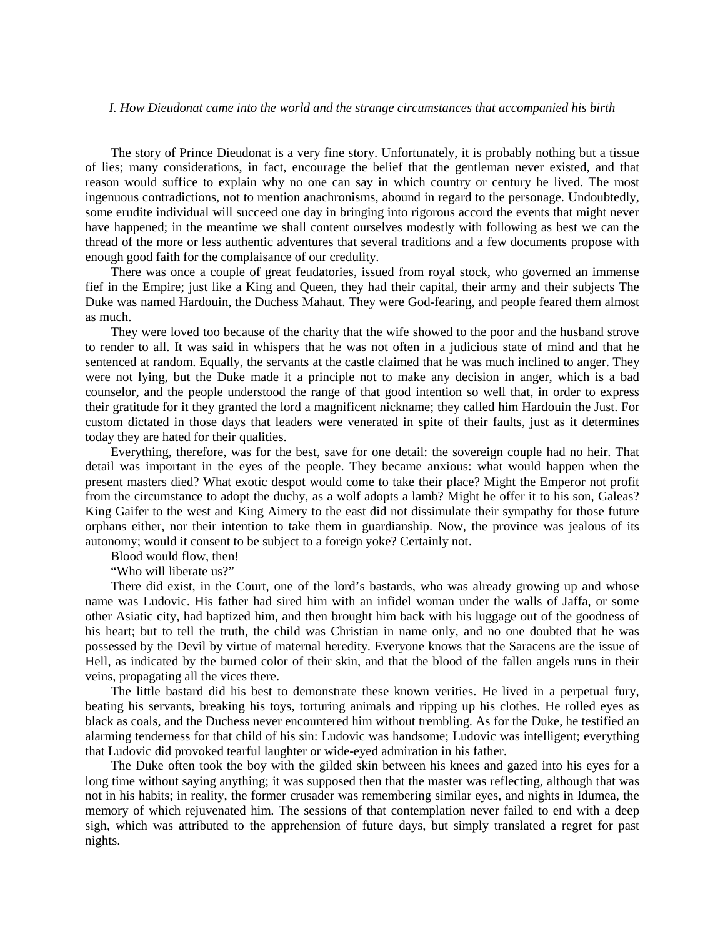## *I. How Dieudonat came into the world and the strange circumstances that accompanied his birth*

The story of Prince Dieudonat is a very fine story. Unfortunately, it is probably nothing but a tissue of lies; many considerations, in fact, encourage the belief that the gentleman never existed, and that reason would suffice to explain why no one can say in which country or century he lived. The most ingenuous contradictions, not to mention anachronisms, abound in regard to the personage. Undoubtedly, some erudite individual will succeed one day in bringing into rigorous accord the events that might never have happened; in the meantime we shall content ourselves modestly with following as best we can the thread of the more or less authentic adventures that several traditions and a few documents propose with enough good faith for the complaisance of our credulity.

There was once a couple of great feudatories, issued from royal stock, who governed an immense fief in the Empire; just like a King and Queen, they had their capital, their army and their subjects The Duke was named Hardouin, the Duchess Mahaut. They were God-fearing, and people feared them almost as much.

They were loved too because of the charity that the wife showed to the poor and the husband strove to render to all. It was said in whispers that he was not often in a judicious state of mind and that he sentenced at random. Equally, the servants at the castle claimed that he was much inclined to anger. They were not lying, but the Duke made it a principle not to make any decision in anger, which is a bad counselor, and the people understood the range of that good intention so well that, in order to express their gratitude for it they granted the lord a magnificent nickname; they called him Hardouin the Just. For custom dictated in those days that leaders were venerated in spite of their faults, just as it determines today they are hated for their qualities.

Everything, therefore, was for the best, save for one detail: the sovereign couple had no heir. That detail was important in the eyes of the people. They became anxious: what would happen when the present masters died? What exotic despot would come to take their place? Might the Emperor not profit from the circumstance to adopt the duchy, as a wolf adopts a lamb? Might he offer it to his son, Galeas? King Gaifer to the west and King Aimery to the east did not dissimulate their sympathy for those future orphans either, nor their intention to take them in guardianship. Now, the province was jealous of its autonomy; would it consent to be subject to a foreign yoke? Certainly not.

Blood would flow, then!

"Who will liberate us?"

There did exist, in the Court, one of the lord's bastards, who was already growing up and whose name was Ludovic. His father had sired him with an infidel woman under the walls of Jaffa, or some other Asiatic city, had baptized him, and then brought him back with his luggage out of the goodness of his heart; but to tell the truth, the child was Christian in name only, and no one doubted that he was possessed by the Devil by virtue of maternal heredity. Everyone knows that the Saracens are the issue of Hell, as indicated by the burned color of their skin, and that the blood of the fallen angels runs in their veins, propagating all the vices there.

The little bastard did his best to demonstrate these known verities. He lived in a perpetual fury, beating his servants, breaking his toys, torturing animals and ripping up his clothes. He rolled eyes as black as coals, and the Duchess never encountered him without trembling. As for the Duke, he testified an alarming tenderness for that child of his sin: Ludovic was handsome; Ludovic was intelligent; everything that Ludovic did provoked tearful laughter or wide-eyed admiration in his father.

The Duke often took the boy with the gilded skin between his knees and gazed into his eyes for a long time without saying anything; it was supposed then that the master was reflecting, although that was not in his habits; in reality, the former crusader was remembering similar eyes, and nights in Idumea, the memory of which rejuvenated him. The sessions of that contemplation never failed to end with a deep sigh, which was attributed to the apprehension of future days, but simply translated a regret for past nights.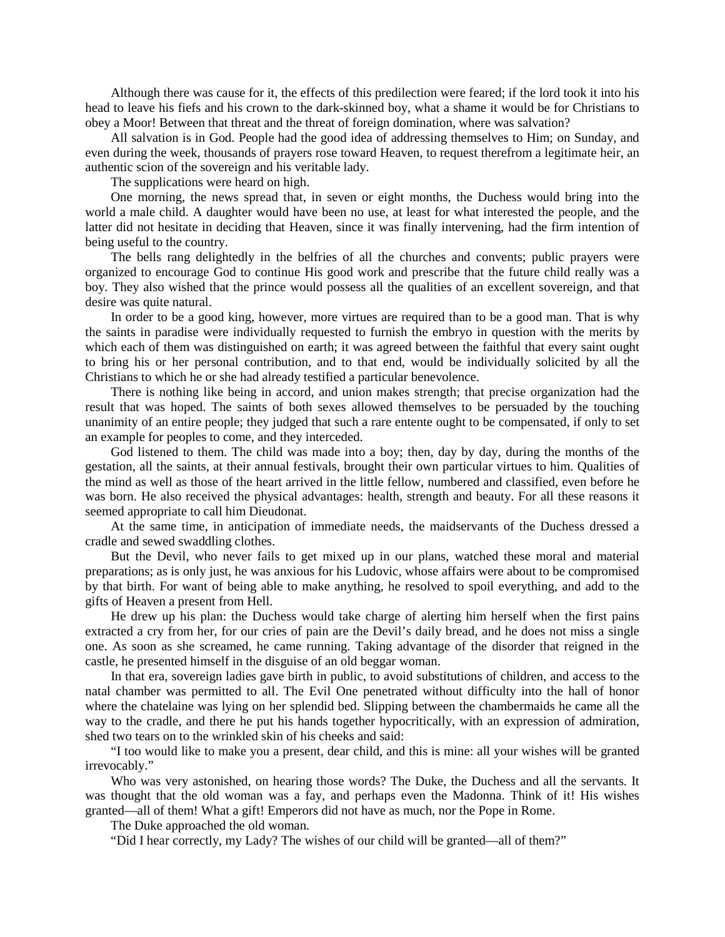Although there was cause for it, the effects of this predilection were feared; if the lord took it into his head to leave his fiefs and his crown to the dark-skinned boy, what a shame it would be for Christians to obey a Moor! Between that threat and the threat of foreign domination, where was salvation?

All salvation is in God. People had the good idea of addressing themselves to Him; on Sunday, and even during the week, thousands of prayers rose toward Heaven, to request therefrom a legitimate heir, an authentic scion of the sovereign and his veritable lady.

The supplications were heard on high.

One morning, the news spread that, in seven or eight months, the Duchess would bring into the world a male child. A daughter would have been no use, at least for what interested the people, and the latter did not hesitate in deciding that Heaven, since it was finally intervening, had the firm intention of being useful to the country.

The bells rang delightedly in the belfries of all the churches and convents; public prayers were organized to encourage God to continue His good work and prescribe that the future child really was a boy. They also wished that the prince would possess all the qualities of an excellent sovereign, and that desire was quite natural.

In order to be a good king, however, more virtues are required than to be a good man. That is why the saints in paradise were individually requested to furnish the embryo in question with the merits by which each of them was distinguished on earth; it was agreed between the faithful that every saint ought to bring his or her personal contribution, and to that end, would be individually solicited by all the Christians to which he or she had already testified a particular benevolence.

There is nothing like being in accord, and union makes strength; that precise organization had the result that was hoped. The saints of both sexes allowed themselves to be persuaded by the touching unanimity of an entire people; they judged that such a rare entente ought to be compensated, if only to set an example for peoples to come, and they interceded.

God listened to them. The child was made into a boy; then, day by day, during the months of the gestation, all the saints, at their annual festivals, brought their own particular virtues to him. Qualities of the mind as well as those of the heart arrived in the little fellow, numbered and classified, even before he was born. He also received the physical advantages: health, strength and beauty. For all these reasons it seemed appropriate to call him Dieudonat.

At the same time, in anticipation of immediate needs, the maidservants of the Duchess dressed a cradle and sewed swaddling clothes.

But the Devil, who never fails to get mixed up in our plans, watched these moral and material preparations; as is only just, he was anxious for his Ludovic, whose affairs were about to be compromised by that birth. For want of being able to make anything, he resolved to spoil everything, and add to the gifts of Heaven a present from Hell.

He drew up his plan: the Duchess would take charge of alerting him herself when the first pains extracted a cry from her, for our cries of pain are the Devil's daily bread, and he does not miss a single one. As soon as she screamed, he came running. Taking advantage of the disorder that reigned in the castle, he presented himself in the disguise of an old beggar woman.

In that era, sovereign ladies gave birth in public, to avoid substitutions of children, and access to the natal chamber was permitted to all. The Evil One penetrated without difficulty into the hall of honor where the chatelaine was lying on her splendid bed. Slipping between the chambermaids he came all the way to the cradle, and there he put his hands together hypocritically, with an expression of admiration, shed two tears on to the wrinkled skin of his cheeks and said:

"I too would like to make you a present, dear child, and this is mine: all your wishes will be granted irrevocably."

Who was very astonished, on hearing those words? The Duke, the Duchess and all the servants. It was thought that the old woman was a fay, and perhaps even the Madonna. Think of it! His wishes granted—all of them! What a gift! Emperors did not have as much, nor the Pope in Rome.

The Duke approached the old woman.

"Did I hear correctly, my Lady? The wishes of our child will be granted—all of them?"